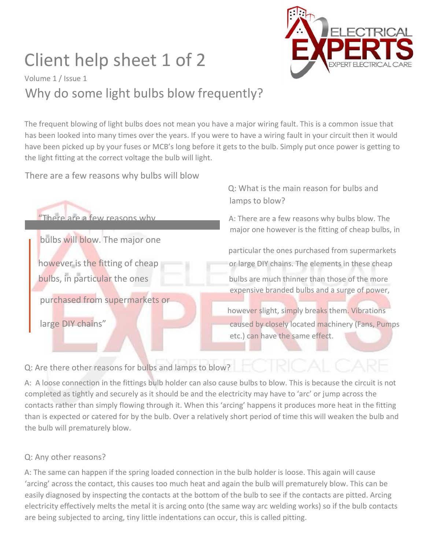## Client help sheet 1 of 2



Q: What is the main reason for bulbs and

Volume 1 / Issue 1 Why do some light bulbs blow frequently?

The frequent blowing of light bulbs does not mean you have a major wiring fault. This is a common issue that has been looked into many times over the years. If you were to have a wiring fault in your circuit then it would have been picked up by your fuses or MCB's long before it gets to the bulb. Simply put once power is getting to the light fitting at the correct voltage the bulb will light.

There are a few reasons why bulbs will blow



Q: Are there other reasons for bulbs and lamps to blow?

A: A loose connection in the fittings bulb holder can also cause bulbs to blow. This is because the circuit is not completed as tightly and securely as it should be and the electricity may have to 'arc' or jump across the contacts rather than simply flowing through it. When this 'arcing' happens it produces more heat in the fitting than is expected or catered for by the bulb. Over a relatively short period of time this will weaken the bulb and the bulb will prematurely blow.

## Q: Any other reasons?

A: The same can happen if the spring loaded connection in the bulb holder is loose. This again will cause 'arcing' across the contact, this causes too much heat and again the bulb will prematurely blow. This can be easily diagnosed by inspecting the contacts at the bottom of the bulb to see if the contacts are pitted. Arcing electricity effectively melts the metal it is arcing onto (the same way arc welding works) so if the bulb contacts are being subjected to arcing, tiny little indentations can occur, this is called pitting.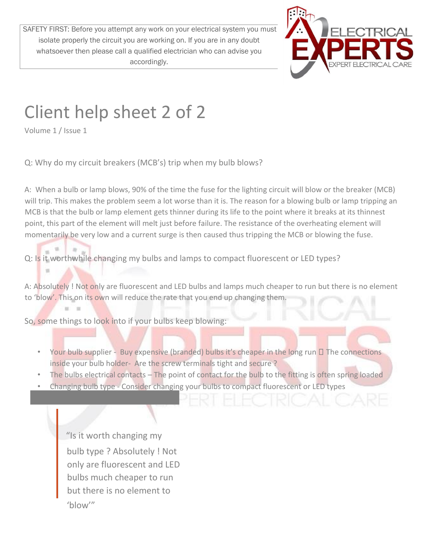SAFETY FIRST: Before you attempt any work on your electrical system you must isolate properly the circuit you are working on. If you are in any doubt whatsoever then please call a qualified electrician who can advise you accordingly.



## Client help sheet 2 of 2

Volume 1 / Issue 1

Q: Why do my circuit breakers (MCB's) trip when my bulb blows?

A: When a bulb or lamp blows, 90% of the time the fuse for the lighting circuit will blow or the breaker (MCB) will trip. This makes the problem seem a lot worse than it is. The reason for a blowing bulb or lamp tripping an MCB is that the bulb or lamp element gets thinner during its life to the point where it breaks at its thinnest point, this part of the element will melt just before failure. The resistance of the overheating element will momentarily be very low and a current surge is then caused thus tripping the MCB or blowing the fuse.

Q: Is it worthwhile changing my bulbs and lamps to compact fluorescent or LED types?

A: Absolutely ! Not only are fluorescent and LED bulbs and lamps much cheaper to run but there is no element to 'blow'. This on its own will reduce the rate that you end up changing them.

So, some things to look into if your bulbs keep blowing:

- Your bulb supplier Buy expensive (branded) bulbs it's cheaper in the long run  $\Box$  The connections inside your bulb holder- Are the screw terminals tight and secure ?
- The bulbs electrical contacts The point of contact for the bulb to the fitting is often spring loaded
- Changing bulb type Consider changing your bulbs to compact fluorescent or LED types

"Is it worth changing my bulb type ? Absolutely ! Not only are fluorescent and LED bulbs much cheaper to run but there is no element to 'blow'"